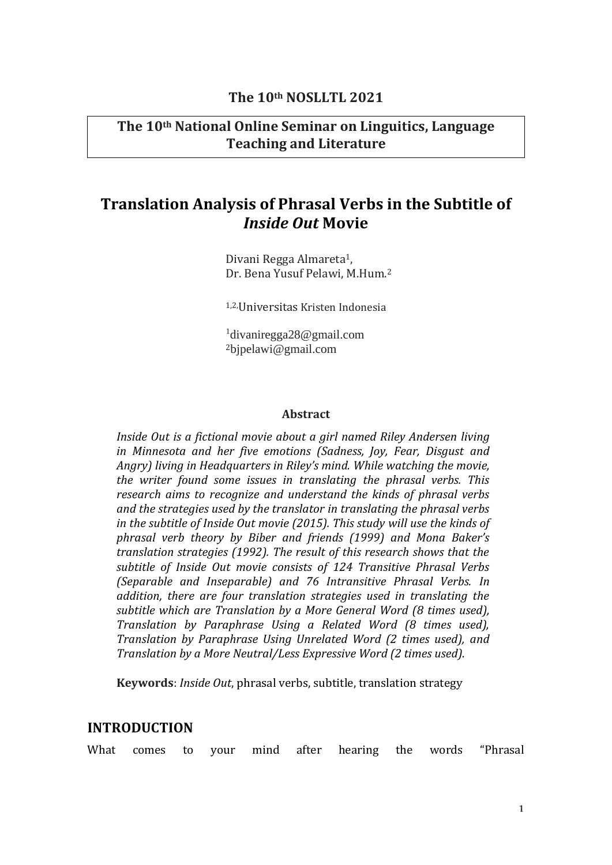# **The 10th NOSLLTL 2021**

# **The 10th National Online Seminar on Linguitics, Language Teaching and Literature**

# **Translation Analysis of Phrasal Verbs in the Subtitle of**  *Inside Out* **Movie**

Divani Regga Almareta<sup>1</sup>, Dr. Bena Yusuf Pelawi, M.Hum.<sup>2</sup>

1,2,Universitas Kristen Indonesia

1 divaniregga28@gmail.com <sup>2</sup>[bjpelawi@gmail.com](mailto:bjpelawi@gmail.com2)

#### **Abstract**

*Inside Out is a fictional movie about a girl named Riley Andersen living in Minnesota and her five emotions (Sadness, Joy, Fear, Disgust and Angry) living in Headquarters in Riley's mind. While watching the movie, the writer found some issues in translating the phrasal verbs. This research aims to recognize and understand the kinds of phrasal verbs and the strategies used by the translator in translating the phrasal verbs in the subtitle of Inside Out movie (2015). This study will use the kinds of phrasal verb theory by Biber and friends (1999) and Mona Baker's translation strategies (1992). The result of this research shows that the subtitle of Inside Out movie consists of 124 Transitive Phrasal Verbs (Separable and Inseparable) and 76 Intransitive Phrasal Verbs. In addition, there are four translation strategies used in translating the subtitle which are Translation by a More General Word (8 times used), Translation by Paraphrase Using a Related Word (8 times used), Translation by Paraphrase Using Unrelated Word (2 times used), and Translation by a More Neutral/Less Expressive Word (2 times used).*

**Keywords**: *Inside Out*, phrasal verbs, subtitle, translation strategy

# **INTRODUCTION**

What comes to your mind after hearing the words "Phrasal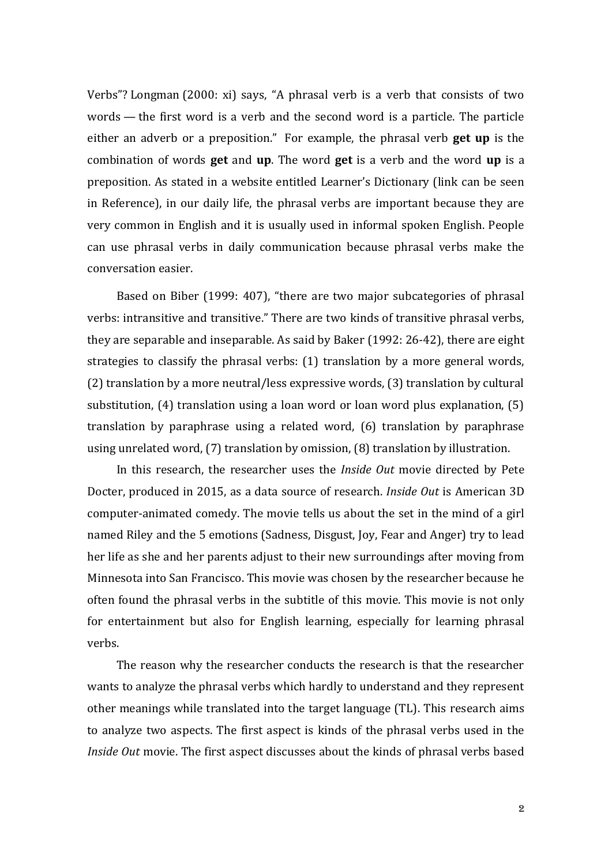Verbs"? Longman (2000: xi) says, "A phrasal verb is a verb that consists of two words — the first word is a verb and the second word is a particle. The particle either an adverb or a preposition." For example, the phrasal verb **get up** is the combination of words **get** and **up**. The word **get** is a verb and the word **up** is a preposition. As stated in a website entitled Learner's Dictionary (link can be seen in Reference), in our daily life, the phrasal verbs are important because they are very common in English and it is usually used in informal spoken English. People can use phrasal verbs in daily communication because phrasal verbs make the conversation easier.

Based on Biber (1999: 407), "there are two major subcategories of phrasal verbs: intransitive and transitive." There are two kinds of transitive phrasal verbs, they are separable and inseparable. As said by Baker (1992: 26-42), there are eight strategies to classify the phrasal verbs: (1) translation by a more general words, (2) translation by a more neutral/less expressive words, (3) translation by cultural substitution, (4) translation using a loan word or loan word plus explanation, (5) translation by paraphrase using a related word, (6) translation by paraphrase using unrelated word, (7) translation by omission, (8) translation by illustration.

In this research, the researcher uses the *Inside Out* movie directed by Pete Docter, produced in 2015, as a data source of research. *Inside Out* is American 3D computer-animated comedy. The movie tells us about the set in the mind of a girl named Riley and the 5 emotions (Sadness, Disgust, Joy, Fear and Anger) try to lead her life as she and her parents adjust to their new surroundings after moving from Minnesota into San Francisco. This movie was chosen by the researcher because he often found the phrasal verbs in the subtitle of this movie. This movie is not only for entertainment but also for English learning, especially for learning phrasal verbs.

The reason why the researcher conducts the research is that the researcher wants to analyze the phrasal verbs which hardly to understand and they represent other meanings while translated into the target language (TL). This research aims to analyze two aspects. The first aspect is kinds of the phrasal verbs used in the *Inside Out* movie. The first aspect discusses about the kinds of phrasal verbs based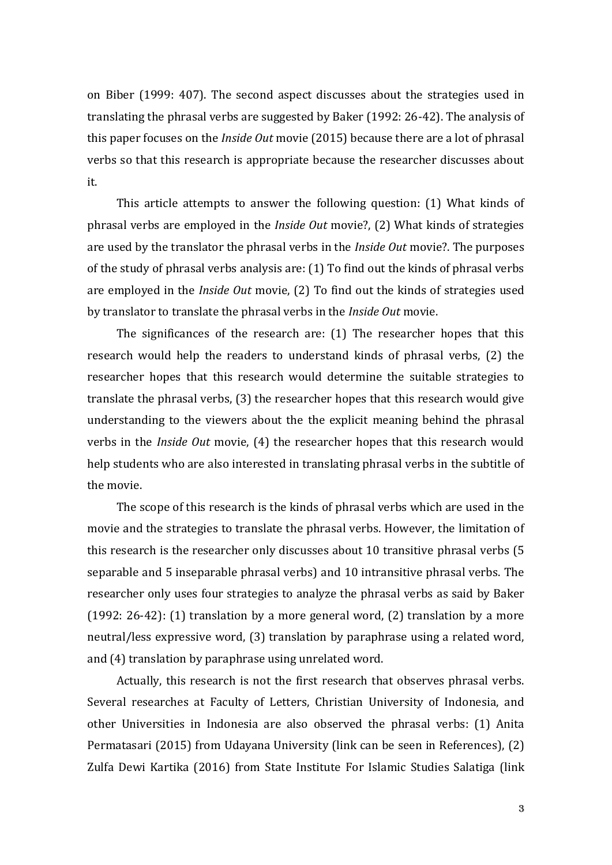on Biber (1999: 407). The second aspect discusses about the strategies used in translating the phrasal verbs are suggested by Baker (1992: 26-42). The analysis of this paper focuses on the *Inside Out* movie (2015) because there are a lot of phrasal verbs so that this research is appropriate because the researcher discusses about it.

This article attempts to answer the following question: (1) What kinds of phrasal verbs are employed in the *Inside Out* movie?, (2) What kinds of strategies are used by the translator the phrasal verbs in the *Inside Out* movie?. The purposes of the study of phrasal verbs analysis are: (1) To find out the kinds of phrasal verbs are employed in the *Inside Out* movie, (2) To find out the kinds of strategies used by translator to translate the phrasal verbs in the *Inside Out* movie.

The significances of the research are: (1) The researcher hopes that this research would help the readers to understand kinds of phrasal verbs, (2) the researcher hopes that this research would determine the suitable strategies to translate the phrasal verbs, (3) the researcher hopes that this research would give understanding to the viewers about the the explicit meaning behind the phrasal verbs in the *Inside Out* movie, (4) the researcher hopes that this research would help students who are also interested in translating phrasal verbs in the subtitle of the movie.

The scope of this research is the kinds of phrasal verbs which are used in the movie and the strategies to translate the phrasal verbs. However, the limitation of this research is the researcher only discusses about 10 transitive phrasal verbs (5 separable and 5 inseparable phrasal verbs) and 10 intransitive phrasal verbs. The researcher only uses four strategies to analyze the phrasal verbs as said by Baker (1992: 26-42): (1) translation by a more general word, (2) translation by a more neutral/less expressive word, (3) translation by paraphrase using a related word, and (4) translation by paraphrase using unrelated word.

Actually, this research is not the first research that observes phrasal verbs. Several researches at Faculty of Letters, Christian University of Indonesia, and other Universities in Indonesia are also observed the phrasal verbs: (1) Anita Permatasari (2015) from Udayana University (link can be seen in References), (2) Zulfa Dewi Kartika (2016) from State Institute For Islamic Studies Salatiga (link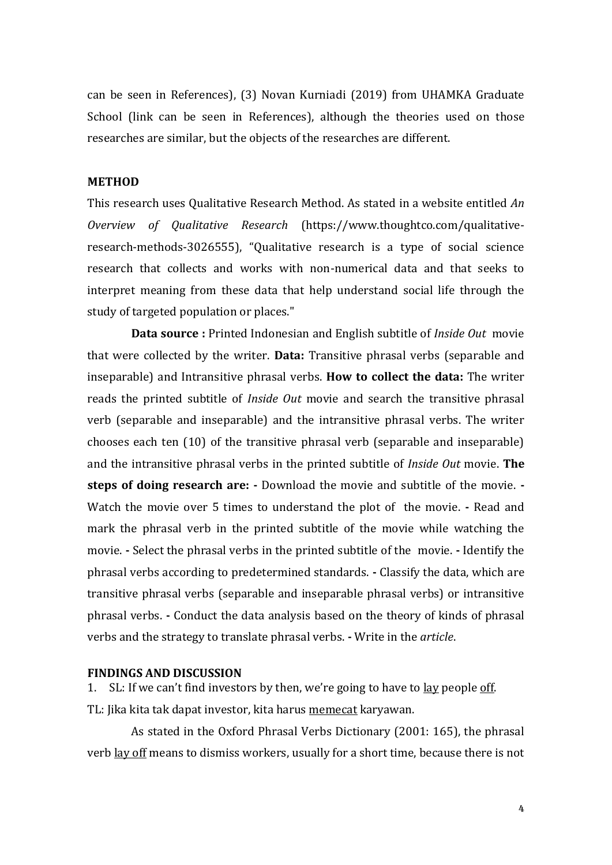can be seen in References), (3) Novan Kurniadi (2019) from UHAMKA Graduate School (link can be seen in References), although the theories used on those researches are similar, but the objects of the researches are different.

#### **METHOD**

This research uses Qualitative Research Method. As stated in a website entitled *An Overview of Qualitative Research* (https://www.thoughtco.com/qualitativeresearch-methods-3026555), "Qualitative research is a type of social science research that collects and works with non-numerical data and that seeks to interpret meaning from these data that help understand social life through the study of targeted population or places."

**Data source :** Printed Indonesian and English subtitle of *Inside Out* movie that were collected by the writer. **Data:** Transitive phrasal verbs (separable and inseparable) and Intransitive phrasal verbs. **How to collect the data:** The writer reads the printed subtitle of *Inside Out* movie and search the transitive phrasal verb (separable and inseparable) and the intransitive phrasal verbs. The writer chooses each ten (10) of the transitive phrasal verb (separable and inseparable) and the intransitive phrasal verbs in the printed subtitle of *Inside Out* movie. **The steps of doing research are: -** Download the movie and subtitle of the movie. **-** Watch the movie over 5 times to understand the plot of the movie. **-** Read and mark the phrasal verb in the printed subtitle of the movie while watching the movie. **-** Select the phrasal verbs in the printed subtitle of the movie. **-** Identify the phrasal verbs according to predetermined standards. **-** Classify the data, which are transitive phrasal verbs (separable and inseparable phrasal verbs) or intransitive phrasal verbs. **-** Conduct the data analysis based on the theory of kinds of phrasal verbs and the strategy to translate phrasal verbs. **-** Write in the *article*.

#### **FINDINGS AND DISCUSSION**

1. SL: If we can't find investors by then, we're going to have to <u>lay</u> people off. TL: Jika kita tak dapat investor, kita harus memecat karyawan.

As stated in the Oxford Phrasal Verbs Dictionary (2001: 165), the phrasal verb <u>lay off</u> means to dismiss workers, usually for a short time, because there is not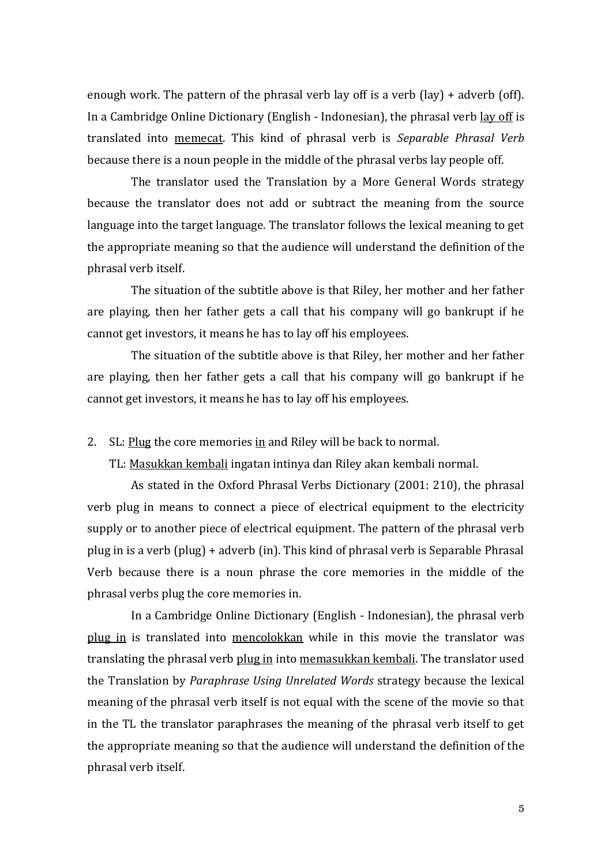enough work. The pattern of the phrasal verb lay off is a verb (lay) + adverb (off). In a Cambridge Online Dictionary (English - Indonesian), the phrasal verb lay off is translated into memecat. This kind of phrasal verb is *Separable Phrasal Verb* because there is a noun people in the middle of the phrasal verbs lay people off.

The translator used the Translation by a More General Words strategy because the translator does not add or subtract the meaning from the source language into the target language. The translator follows the lexical meaning to get the appropriate meaning so that the audience will understand the definition of the phrasal verb itself.

The situation of the subtitle above is that Riley, her mother and her father are playing, then her father gets a call that his company will go bankrupt if he cannot get investors, it means he has to lay off his employees.

The situation of the subtitle above is that Riley, her mother and her father are playing, then her father gets a call that his company will go bankrupt if he cannot get investors, it means he has to lay off his employees.

2. SL: Plug the core memories in and Riley will be back to normal.

TL: Masukkan kembali ingatan intinya dan Riley akan kembali normal.

As stated in the Oxford Phrasal Verbs Dictionary (2001: 210), the phrasal verb plug in means to connect a piece of electrical equipment to the electricity supply or to another piece of electrical equipment. The pattern of the phrasal verb plug in is a verb (plug) + adverb (in). This kind of phrasal verb is Separable Phrasal Verb because there is a noun phrase the core memories in the middle of the phrasal verbs plug the core memories in.

In a Cambridge Online Dictionary (English - Indonesian), the phrasal verb plug in is translated into mencolokkan while in this movie the translator was translating the phrasal verb plug in into memasukkan kembali. The translator used the Translation by *Paraphrase Using Unrelated Words* strategy because the lexical meaning of the phrasal verb itself is not equal with the scene of the movie so that in the TL the translator paraphrases the meaning of the phrasal verb itself to get the appropriate meaning so that the audience will understand the definition of the phrasal verb itself.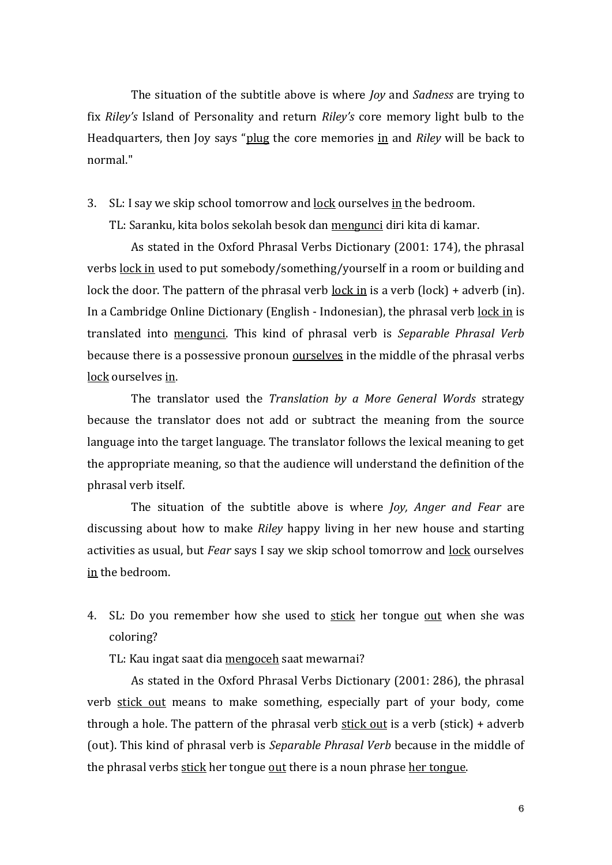The situation of the subtitle above is where *Joy* and *Sadness* are trying to fix *Riley's* Island of Personality and return *Riley's* core memory light bulb to the Headquarters, then Joy says "plug the core memories in and *Riley* will be back to normal."

3. SL: I say we skip school tomorrow and lock ourselves in the bedroom.

TL: Saranku, kita bolos sekolah besok dan mengunci diri kita di kamar.

As stated in the Oxford Phrasal Verbs Dictionary (2001: 174), the phrasal verbs lock in used to put somebody/something/yourself in a room or building and lock the door. The pattern of the phrasal verb lock in is a verb (lock) + adverb (in). In a Cambridge Online Dictionary (English - Indonesian), the phrasal verb lock in is translated into mengunci. This kind of phrasal verb is *Separable Phrasal Verb* because there is a possessive pronoun **ourselves** in the middle of the phrasal verbs lock ourselves in.

The translator used the *Translation by a More General Words* strategy because the translator does not add or subtract the meaning from the source language into the target language. The translator follows the lexical meaning to get the appropriate meaning, so that the audience will understand the definition of the phrasal verb itself.

The situation of the subtitle above is where *Joy, Anger and Fear* are discussing about how to make *Riley* happy living in her new house and starting activities as usual, but *Fear* says I say we skip school tomorrow and lock ourselves in the bedroom.

- 4. SL: Do you remember how she used to stick her tongue out when she was coloring?
	- TL: Kau ingat saat dia mengoceh saat mewarnai?

As stated in the Oxford Phrasal Verbs Dictionary (2001: 286), the phrasal verb stick out means to make something, especially part of your body, come through a hole. The pattern of the phrasal verb  $\frac{\text{stick out}}{\text{stick}}$  is a verb (stick) + adverb (out). This kind of phrasal verb is *Separable Phrasal Verb* because in the middle of the phrasal verbs stick her tongue out there is a noun phrase her tongue.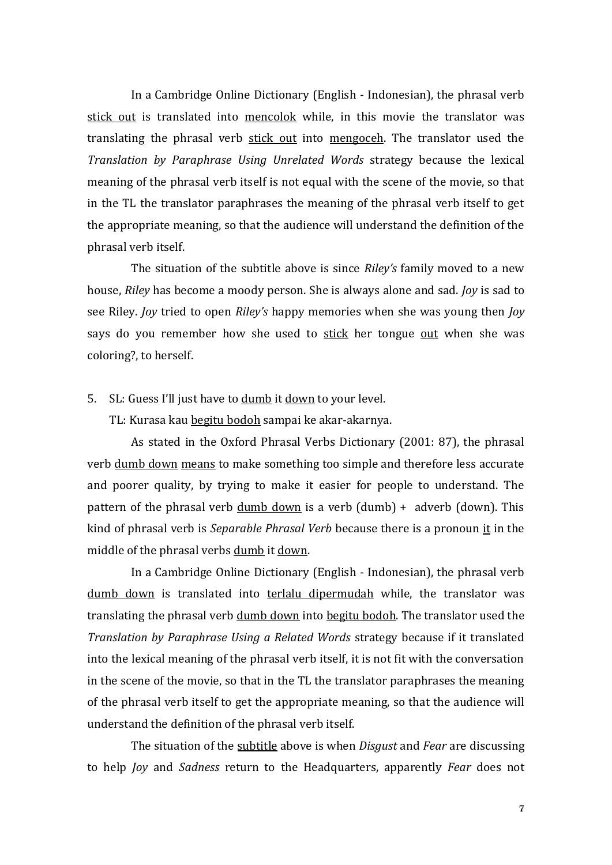In a Cambridge Online Dictionary (English - Indonesian), the phrasal verb stick out is translated into mencolok while, in this movie the translator was translating the phrasal verb stick out into mengoceh. The translator used the *Translation by Paraphrase Using Unrelated Words* strategy because the lexical meaning of the phrasal verb itself is not equal with the scene of the movie, so that in the TL the translator paraphrases the meaning of the phrasal verb itself to get the appropriate meaning, so that the audience will understand the definition of the phrasal verb itself.

The situation of the subtitle above is since *Riley's* family moved to a new house, *Riley* has become a moody person. She is always alone and sad. *Joy* is sad to see Riley. *Joy* tried to open *Riley's* happy memories when she was young then *Joy* says do you remember how she used to stick her tongue out when she was coloring?, to herself.

## 5. SL: Guess I'll just have to dumb it down to your level.

TL: Kurasa kau begitu bodoh sampai ke akar-akarnya.

As stated in the Oxford Phrasal Verbs Dictionary (2001: 87), the phrasal verb dumb down means to make something too simple and therefore less accurate and poorer quality, by trying to make it easier for people to understand. The pattern of the phrasal verb  $\frac{dumb \, down}{d w}$  is a verb  $(\text{dumb}) + \text{adverb}(\text{down})$ . This kind of phrasal verb is *Separable Phrasal Verb* because there is a pronoun it in the middle of the phrasal verbs dumb it down.

In a Cambridge Online Dictionary (English - Indonesian), the phrasal verb dumb down is translated into terlalu dipermudah while, the translator was translating the phrasal verb dumb down into begitu bodoh. The translator used the *Translation by Paraphrase Using a Related Words* strategy because if it translated into the lexical meaning of the phrasal verb itself, it is not fit with the conversation in the scene of the movie, so that in the TL the translator paraphrases the meaning of the phrasal verb itself to get the appropriate meaning, so that the audience will understand the definition of the phrasal verb itself.

The situation of the subtitle above is when *Disgust* and *Fear* are discussing to help *Joy* and *Sadness* return to the Headquarters, apparently *Fear* does not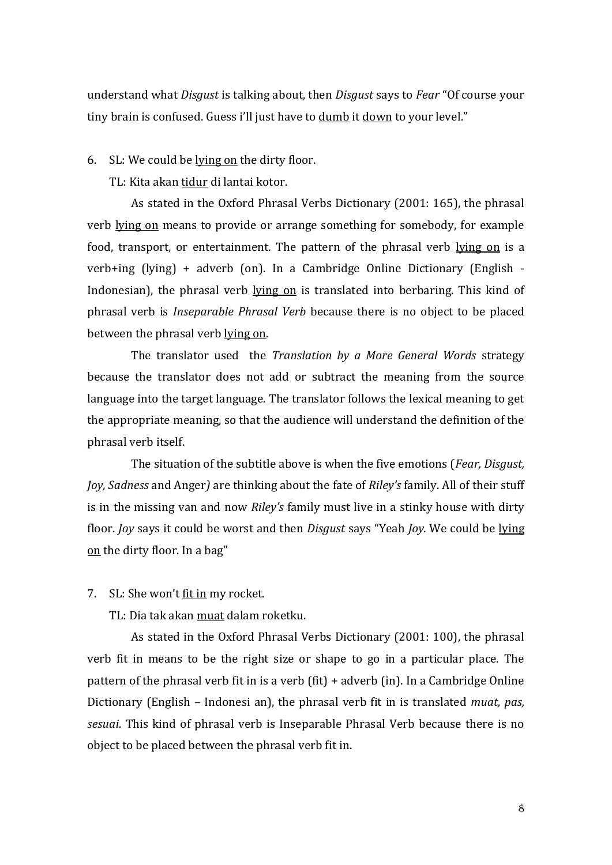understand what *Disgust* is talking about, then *Disgust* says to *Fear* "Of course your tiny brain is confused. Guess i'll just have to dumb it down to your level."

6. SL: We could be lying on the dirty floor.

TL: Kita akan tidur di lantai kotor.

As stated in the Oxford Phrasal Verbs Dictionary (2001: 165), the phrasal verb lying on means to provide or arrange something for somebody, for example food, transport, or entertainment. The pattern of the phrasal verb lying on is a verb+ing (lying) + adverb (on). In a Cambridge Online Dictionary (English - Indonesian), the phrasal verb lying on is translated into berbaring. This kind of phrasal verb is *Inseparable Phrasal Verb* because there is no object to be placed between the phrasal verb lying on.

The translator used the *Translation by a More General Words* strategy because the translator does not add or subtract the meaning from the source language into the target language. The translator follows the lexical meaning to get the appropriate meaning, so that the audience will understand the definition of the phrasal verb itself.

The situation of the subtitle above is when the five emotions (*Fear, Disgust, Joy, Sadness* and Anger*)* are thinking about the fate of *Riley's* family. All of their stuff is in the missing van and now *Riley's* family must live in a stinky house with dirty floor. *Joy* says it could be worst and then *Disgust* says "Yeah *Joy.* We could be lying on the dirty floor. In a bag"

7. SL: She won't fit in my rocket.

TL: Dia tak akan muat dalam roketku.

As stated in the Oxford Phrasal Verbs Dictionary (2001: 100), the phrasal verb fit in means to be the right size or shape to go in a particular place. The pattern of the phrasal verb fit in is a verb (fit) + adverb (in). In a Cambridge Online Dictionary (English – Indonesi an), the phrasal verb fit in is translated *muat, pas, sesuai*. This kind of phrasal verb is Inseparable Phrasal Verb because there is no object to be placed between the phrasal verb fit in.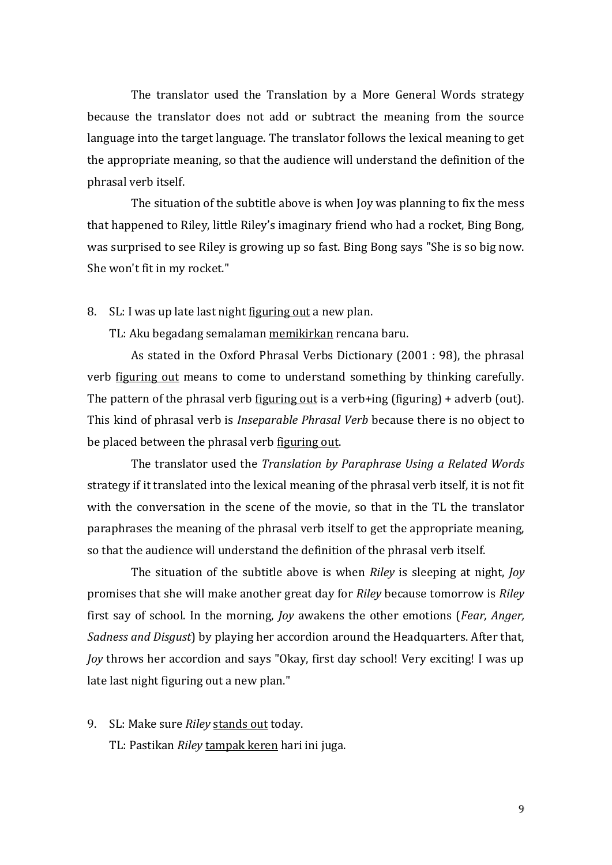The translator used the Translation by a More General Words strategy because the translator does not add or subtract the meaning from the source language into the target language. The translator follows the lexical meaning to get the appropriate meaning, so that the audience will understand the definition of the phrasal verb itself.

The situation of the subtitle above is when Joy was planning to fix the mess that happened to Riley, little Riley's imaginary friend who had a rocket, Bing Bong, was surprised to see Riley is growing up so fast. Bing Bong says "She is so big now. She won't fit in my rocket."

8. SL: I was up late last night figuring out a new plan.

TL: Aku begadang semalaman memikirkan rencana baru.

As stated in the Oxford Phrasal Verbs Dictionary (2001 : 98), the phrasal verb figuring out means to come to understand something by thinking carefully. The pattern of the phrasal verb figuring out is a verb+ing (figuring) + adverb (out). This kind of phrasal verb is *Inseparable Phrasal Verb* because there is no object to be placed between the phrasal verb figuring out.

The translator used the *Translation by Paraphrase Using a Related Words* strategy if it translated into the lexical meaning of the phrasal verb itself, it is not fit with the conversation in the scene of the movie, so that in the TL the translator paraphrases the meaning of the phrasal verb itself to get the appropriate meaning, so that the audience will understand the definition of the phrasal verb itself.

The situation of the subtitle above is when *Riley* is sleeping at night, *Joy* promises that she will make another great day for *Riley* because tomorrow is *Riley* first say of school. In the morning, *Joy* awakens the other emotions (*Fear, Anger, Sadness and Disgust*) by playing her accordion around the Headquarters. After that, *Joy* throws her accordion and says "Okay, first day school! Very exciting! I was up late last night figuring out a new plan."

9. SL: Make sure *Riley* stands out today.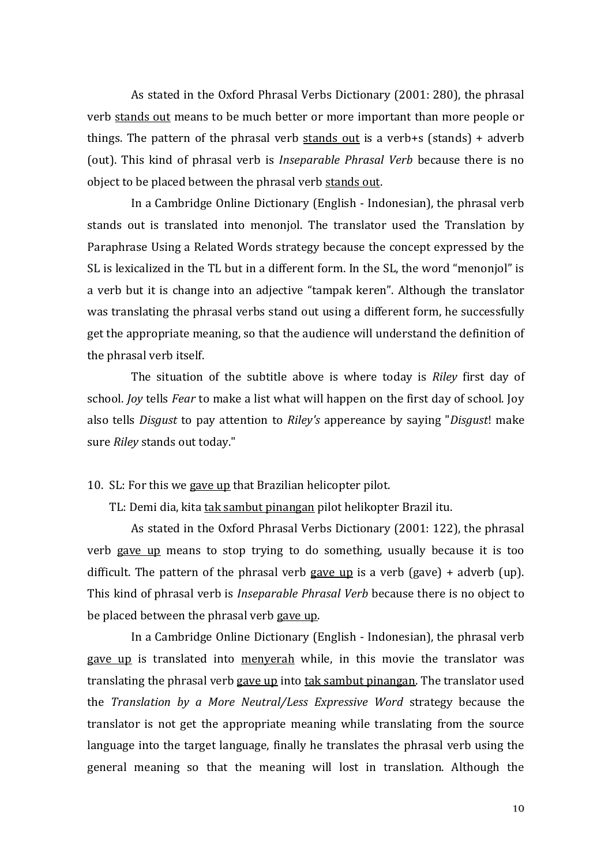As stated in the Oxford Phrasal Verbs Dictionary (2001: 280), the phrasal verb stands out means to be much better or more important than more people or things. The pattern of the phrasal verb stands out is a verb+s (stands) + adverb (out). This kind of phrasal verb is *Inseparable Phrasal Verb* because there is no object to be placed between the phrasal verb stands out.

In a Cambridge Online Dictionary (English - Indonesian), the phrasal verb stands out is translated into menonjol. The translator used the Translation by Paraphrase Using a Related Words strategy because the concept expressed by the SL is lexicalized in the TL but in a different form. In the SL, the word "menonjol" is a verb but it is change into an adjective "tampak keren". Although the translator was translating the phrasal verbs stand out using a different form, he successfully get the appropriate meaning, so that the audience will understand the definition of the phrasal verb itself.

The situation of the subtitle above is where today is *Riley* first day of school. *Joy* tells *Fear* to make a list what will happen on the first day of school. Joy also tells *Disgust* to pay attention to *Riley's* appereance by saying "*Disgust*! make sure *Riley* stands out today."

10. SL: For this we gave up that Brazilian helicopter pilot.

TL: Demi dia, kita tak sambut pinangan pilot helikopter Brazil itu.

As stated in the Oxford Phrasal Verbs Dictionary (2001: 122), the phrasal verb gave up means to stop trying to do something, usually because it is too difficult. The pattern of the phrasal verb gave up is a verb (gave) + adverb (up). This kind of phrasal verb is *Inseparable Phrasal Verb* because there is no object to be placed between the phrasal verb gave up.

In a Cambridge Online Dictionary (English - Indonesian), the phrasal verb gave up is translated into menyerah while, in this movie the translator was translating the phrasal verb gave up into tak sambut pinangan. The translator used the *Translation by a More Neutral/Less Expressive Word* strategy because the translator is not get the appropriate meaning while translating from the source language into the target language, finally he translates the phrasal verb using the general meaning so that the meaning will lost in translation. Although the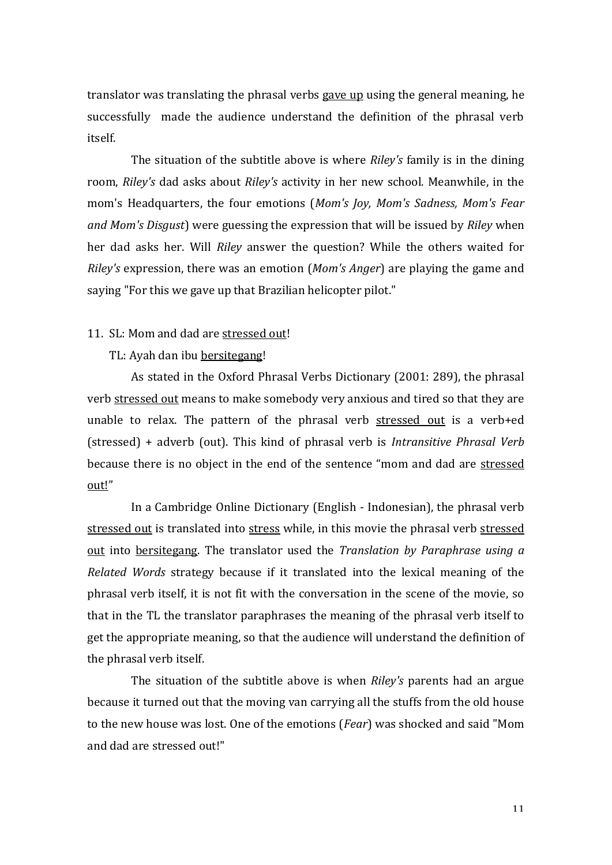translator was translating the phrasal verbs gave up using the general meaning, he successfully made the audience understand the definition of the phrasal verb itself.

The situation of the subtitle above is where *Riley's* family is in the dining room, *Riley's* dad asks about *Riley's* activity in her new school. Meanwhile, in the mom's Headquarters, the four emotions (*Mom's Joy, Mom's Sadness, Mom's Fear and Mom's Disgust*) were guessing the expression that will be issued by *Riley* when her dad asks her. Will *Riley* answer the question? While the others waited for *Riley's* expression, there was an emotion (*Mom's Anger*) are playing the game and saying "For this we gave up that Brazilian helicopter pilot."

## 11. SL: Mom and dad are stressed out!

#### TL: Ayah dan ibu bersitegang!

As stated in the Oxford Phrasal Verbs Dictionary (2001: 289), the phrasal verb stressed out means to make somebody very anxious and tired so that they are unable to relax. The pattern of the phrasal verb stressed out is a verb+ed (stressed) + adverb (out). This kind of phrasal verb is *Intransitive Phrasal Verb* because there is no object in the end of the sentence "mom and dad are stressed out!"

In a Cambridge Online Dictionary (English - Indonesian), the phrasal verb stressed out is translated into stress while, in this movie the phrasal verb stressed out into bersitegang. The translator used the *Translation by Paraphrase using a Related Words* strategy because if it translated into the lexical meaning of the phrasal verb itself, it is not fit with the conversation in the scene of the movie, so that in the TL the translator paraphrases the meaning of the phrasal verb itself to get the appropriate meaning, so that the audience will understand the definition of the phrasal verb itself.

The situation of the subtitle above is when *Riley's* parents had an argue because it turned out that the moving van carrying all the stuffs from the old house to the new house was lost. One of the emotions (*Fear*) was shocked and said "Mom and dad are stressed out!"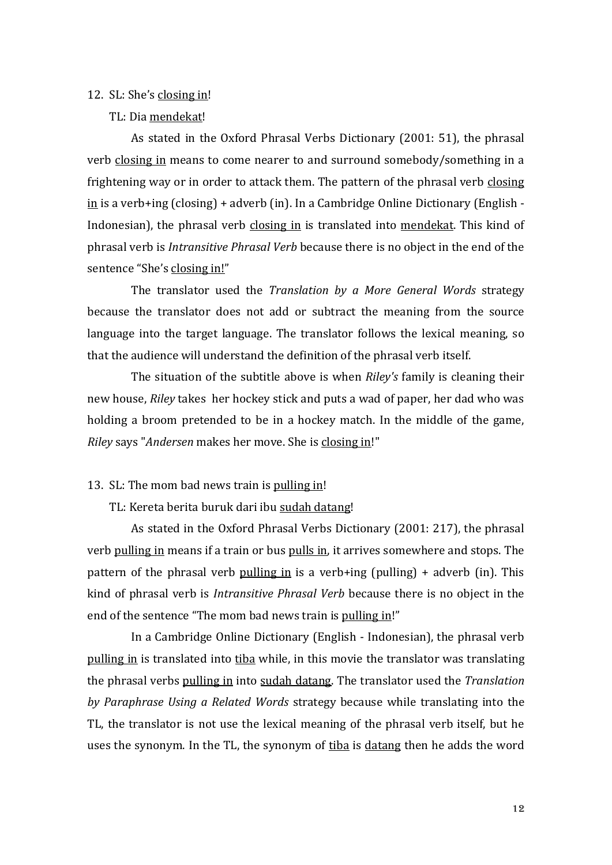#### 12. SL: She's closing in!

TL: Dia mendekat!

As stated in the Oxford Phrasal Verbs Dictionary (2001: 51), the phrasal verb closing in means to come nearer to and surround somebody/something in a frightening way or in order to attack them. The pattern of the phrasal verb closing in is a verb+ing (closing) + adverb (in). In a Cambridge Online Dictionary (English - Indonesian), the phrasal verb closing in is translated into mendekat. This kind of phrasal verb is *Intransitive Phrasal Verb* because there is no object in the end of the sentence "She's closing in!"

The translator used the *Translation by a More General Words* strategy because the translator does not add or subtract the meaning from the source language into the target language. The translator follows the lexical meaning, so that the audience will understand the definition of the phrasal verb itself.

The situation of the subtitle above is when *Riley's* family is cleaning their new house, *Riley* takes her hockey stick and puts a wad of paper, her dad who was holding a broom pretended to be in a hockey match. In the middle of the game, *Riley* says "*Andersen* makes her move. She is closing in!"

13. SL: The mom bad news train is pulling in!

TL: Kereta berita buruk dari ibu sudah datang!

As stated in the Oxford Phrasal Verbs Dictionary (2001: 217), the phrasal verb pulling in means if a train or bus pulls in, it arrives somewhere and stops. The pattern of the phrasal verb pulling in is a verb+ing (pulling) + adverb (in). This kind of phrasal verb is *Intransitive Phrasal Verb* because there is no object in the end of the sentence "The mom bad news train is pulling in!"

In a Cambridge Online Dictionary (English - Indonesian), the phrasal verb pulling in is translated into tiba while, in this movie the translator was translating the phrasal verbs pulling in into sudah datang. The translator used the *Translation by Paraphrase Using a Related Words* strategy because while translating into the TL, the translator is not use the lexical meaning of the phrasal verb itself, but he uses the synonym. In the TL, the synonym of tiba is datang then he adds the word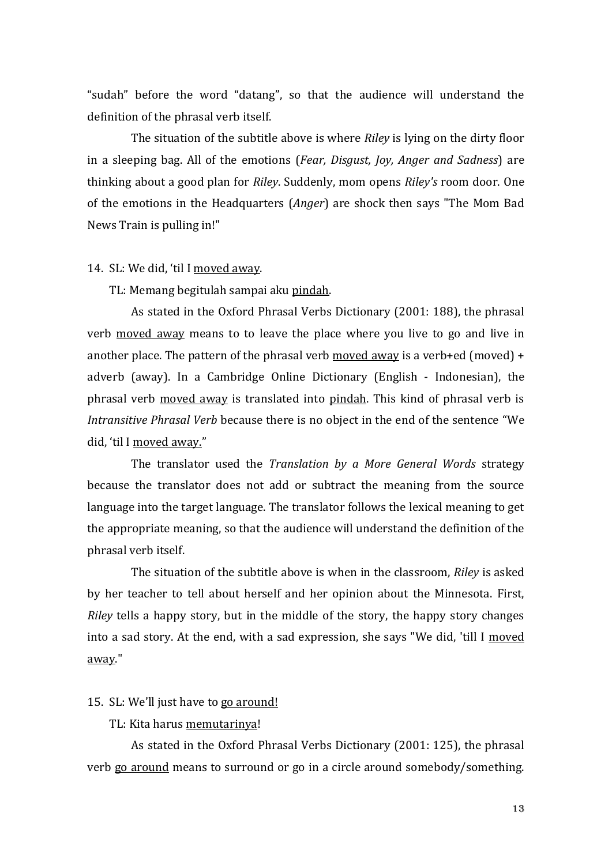"sudah" before the word "datang", so that the audience will understand the definition of the phrasal verb itself.

The situation of the subtitle above is where *Riley* is lying on the dirty floor in a sleeping bag. All of the emotions (*Fear, Disgust, Joy, Anger and Sadness*) are thinking about a good plan for *Riley*. Suddenly, mom opens *Riley's* room door. One of the emotions in the Headquarters (*Anger*) are shock then says "The Mom Bad News Train is pulling in!"

#### 14. SL: We did, 'til I moved away.

TL: Memang begitulah sampai aku pindah.

As stated in the Oxford Phrasal Verbs Dictionary (2001: 188), the phrasal verb moved away means to to leave the place where you live to go and live in another place. The pattern of the phrasal verb moved away is a verb+ed (moved) + adverb (away). In a Cambridge Online Dictionary (English - Indonesian), the phrasal verb moved away is translated into pindah. This kind of phrasal verb is *Intransitive Phrasal Verb* because there is no object in the end of the sentence "We did, 'til I moved away."

The translator used the *Translation by a More General Words* strategy because the translator does not add or subtract the meaning from the source language into the target language. The translator follows the lexical meaning to get the appropriate meaning, so that the audience will understand the definition of the phrasal verb itself.

The situation of the subtitle above is when in the classroom, *Riley* is asked by her teacher to tell about herself and her opinion about the Minnesota. First, *Riley* tells a happy story, but in the middle of the story, the happy story changes into a sad story. At the end, with a sad expression, she says "We did, 'till I moved away."

# 15. SL: We'll just have to go around!

TL: Kita harus memutarinya!

As stated in the Oxford Phrasal Verbs Dictionary (2001: 125), the phrasal verb go around means to surround or go in a circle around somebody/something.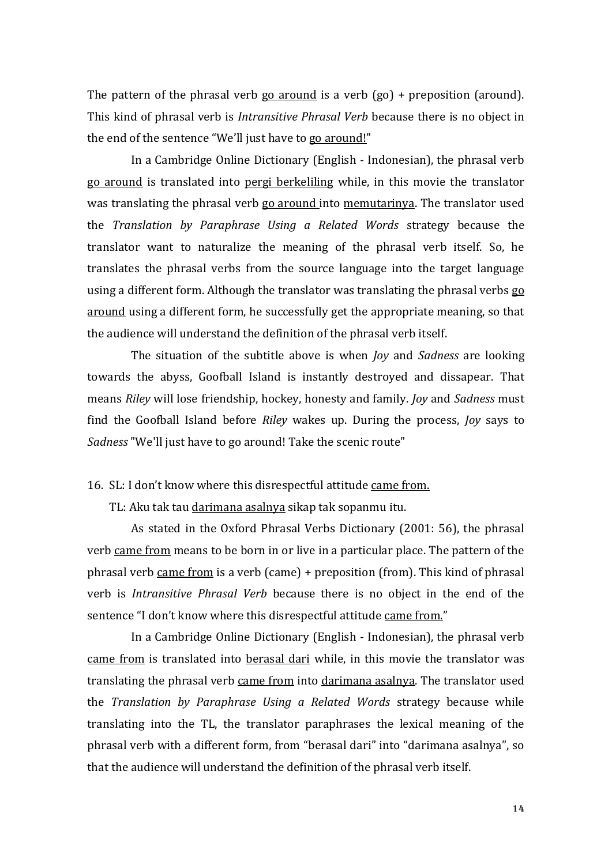The pattern of the phrasal verb  $go$  around is a verb  $(go)$  + preposition (around). This kind of phrasal verb is *Intransitive Phrasal Verb* because there is no object in the end of the sentence "We'll just have to go around!"

In a Cambridge Online Dictionary (English - Indonesian), the phrasal verb go around is translated into pergi berkeliling while, in this movie the translator was translating the phrasal verb go around into memutarinya. The translator used the *Translation by Paraphrase Using a Related Words* strategy because the translator want to naturalize the meaning of the phrasal verb itself. So, he translates the phrasal verbs from the source language into the target language using a different form. Although the translator was translating the phrasal verbs go around using a different form, he successfully get the appropriate meaning, so that the audience will understand the definition of the phrasal verb itself.

The situation of the subtitle above is when *Joy* and *Sadness* are looking towards the abyss, Goofball Island is instantly destroyed and dissapear. That means *Riley* will lose friendship, hockey, honesty and family. *Joy* and *Sadness* must find the Goofball Island before *Riley* wakes up. During the process, *Joy* says to *Sadness* "We'll just have to go around! Take the scenic route"

16. SL: I don't know where this disrespectful attitude came from.

TL: Aku tak tau darimana asalnya sikap tak sopanmu itu.

As stated in the Oxford Phrasal Verbs Dictionary (2001: 56), the phrasal verb came from means to be born in or live in a particular place. The pattern of the phrasal verb came from is a verb (came) + preposition (from). This kind of phrasal verb is *Intransitive Phrasal Verb* because there is no object in the end of the sentence "I don't know where this disrespectful attitude came from."

In a Cambridge Online Dictionary (English - Indonesian), the phrasal verb came from is translated into berasal dari while, in this movie the translator was translating the phrasal verb came from into darimana asalnya. The translator used the *Translation by Paraphrase Using a Related Words* strategy because while translating into the TL, the translator paraphrases the lexical meaning of the phrasal verb with a different form, from "berasal dari" into "darimana asalnya", so that the audience will understand the definition of the phrasal verb itself.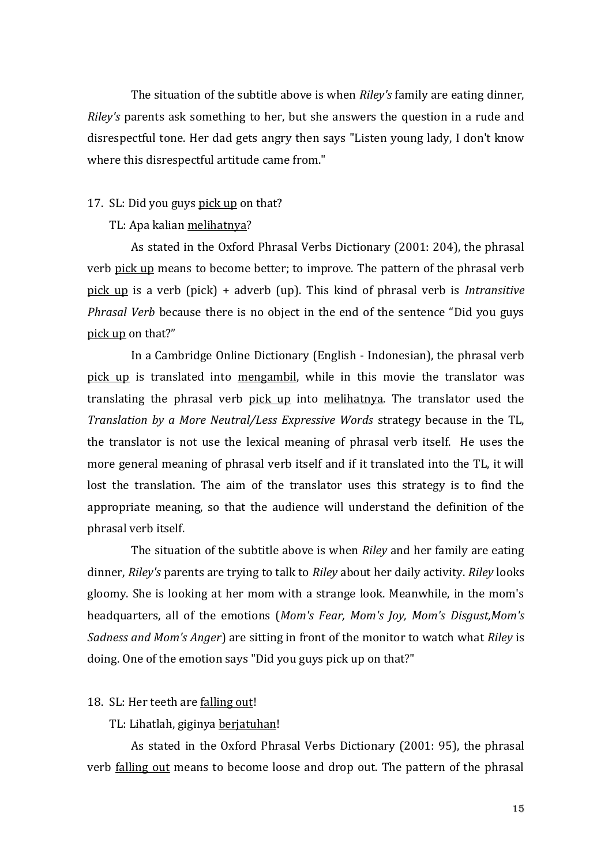The situation of the subtitle above is when *Riley's* family are eating dinner, *Riley's* parents ask something to her, but she answers the question in a rude and disrespectful tone. Her dad gets angry then says "Listen young lady, I don't know where this disrespectful artitude came from."

#### 17. SL: Did you guys pick up on that?

#### TL: Apa kalian melihatnya?

As stated in the Oxford Phrasal Verbs Dictionary (2001: 204), the phrasal verb pick up means to become better; to improve. The pattern of the phrasal verb pick up is a verb (pick) + adverb (up). This kind of phrasal verb is *Intransitive Phrasal Verb* because there is no object in the end of the sentence "Did you guys pick up on that?"

In a Cambridge Online Dictionary (English - Indonesian), the phrasal verb pick up is translated into mengambil, while in this movie the translator was translating the phrasal verb pick up into melihatnya. The translator used the *Translation by a More Neutral/Less Expressive Words* strategy because in the TL, the translator is not use the lexical meaning of phrasal verb itself. He uses the more general meaning of phrasal verb itself and if it translated into the TL, it will lost the translation. The aim of the translator uses this strategy is to find the appropriate meaning, so that the audience will understand the definition of the phrasal verb itself.

The situation of the subtitle above is when *Riley* and her family are eating dinner, *Riley's* parents are trying to talk to *Riley* about her daily activity. *Riley* looks gloomy. She is looking at her mom with a strange look. Meanwhile, in the mom's headquarters, all of the emotions (*Mom's Fear, Mom's Joy, Mom's Disgust,Mom's Sadness and Mom's Anger*) are sitting in front of the monitor to watch what *Riley* is doing. One of the emotion says "Did you guys pick up on that?"

# 18. SL: Her teeth are falling out!

TL: Lihatlah, giginya berjatuhan!

As stated in the Oxford Phrasal Verbs Dictionary (2001: 95), the phrasal verb falling out means to become loose and drop out. The pattern of the phrasal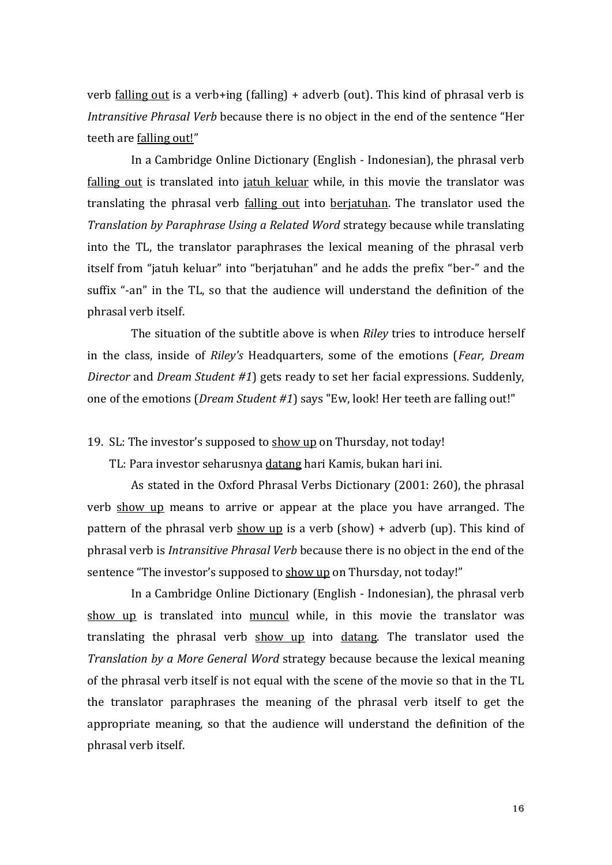verb falling out is a verb+ing (falling) + adverb (out). This kind of phrasal verb is *Intransitive Phrasal Verb* because there is no object in the end of the sentence "Her teeth are falling out!"

In a Cambridge Online Dictionary (English - Indonesian), the phrasal verb falling out is translated into jatuh keluar while, in this movie the translator was translating the phrasal verb falling out into berjatuhan. The translator used the *Translation by Paraphrase Using a Related Word* strategy because while translating into the TL, the translator paraphrases the lexical meaning of the phrasal verb itself from "jatuh keluar" into "berjatuhan" and he adds the prefix "ber-" and the suffix "-an" in the TL, so that the audience will understand the definition of the phrasal verb itself.

The situation of the subtitle above is when *Riley* tries to introduce herself in the class, inside of *Riley's* Headquarters, some of the emotions (*Fear, Dream Director* and *Dream Student #1*) gets ready to set her facial expressions. Suddenly, one of the emotions (*Dream Student #1*) says "Ew, look! Her teeth are falling out!"

19. SL: The investor's supposed to show up on Thursday, not today!

TL: Para investor seharusnya datang hari Kamis, bukan hari ini.

As stated in the Oxford Phrasal Verbs Dictionary (2001: 260), the phrasal verb show up means to arrive or appear at the place you have arranged. The pattern of the phrasal verb  $\frac{\text{show up}}{\text{is a verb}}$  (show) + adverb (up). This kind of phrasal verb is *Intransitive Phrasal Verb* because there is no object in the end of the sentence "The investor's supposed to show up on Thursday, not today!"

In a Cambridge Online Dictionary (English - Indonesian), the phrasal verb show up is translated into muncul while, in this movie the translator was translating the phrasal verb show up into datang. The translator used the *Translation by a More General Word* strategy because because the lexical meaning of the phrasal verb itself is not equal with the scene of the movie so that in the TL the translator paraphrases the meaning of the phrasal verb itself to get the appropriate meaning, so that the audience will understand the definition of the phrasal verb itself.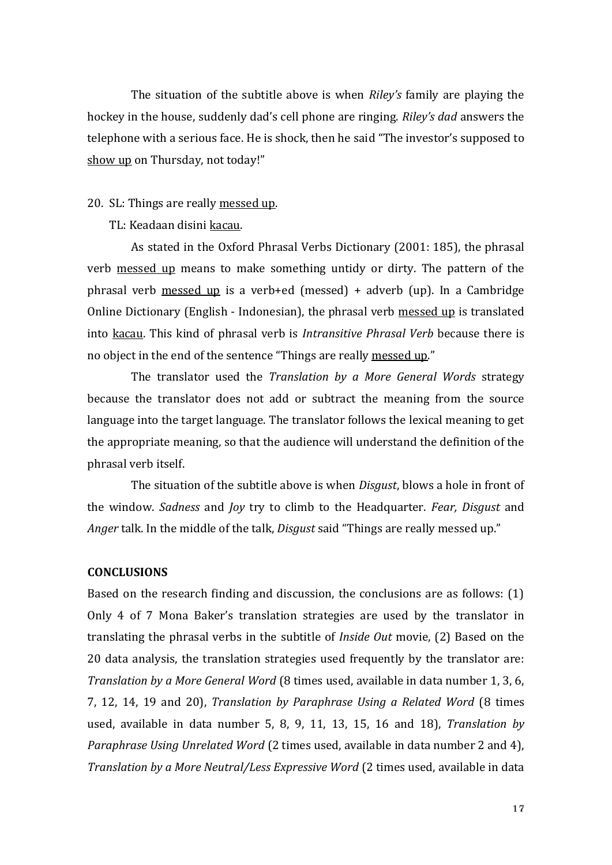The situation of the subtitle above is when *Riley's* family are playing the hockey in the house, suddenly dad's cell phone are ringing. *Riley's dad* answers the telephone with a serious face. He is shock, then he said "The investor's supposed to show up on Thursday, not today!"

#### 20. SL: Things are really messed up.

TL: Keadaan disini kacau.

As stated in the Oxford Phrasal Verbs Dictionary (2001: 185), the phrasal verb messed up means to make something untidy or dirty. The pattern of the phrasal verb messed up is a verb+ed (messed) + adverb (up). In a Cambridge Online Dictionary (English - Indonesian), the phrasal verb messed up is translated into kacau. This kind of phrasal verb is *Intransitive Phrasal Verb* because there is no object in the end of the sentence "Things are really messed up."

The translator used the *Translation by a More General Words* strategy because the translator does not add or subtract the meaning from the source language into the target language. The translator follows the lexical meaning to get the appropriate meaning, so that the audience will understand the definition of the phrasal verb itself.

The situation of the subtitle above is when *Disgust*, blows a hole in front of the window. *Sadness* and *Joy* try to climb to the Headquarter. *Fear, Disgust* and *Anger* talk. In the middle of the talk, *Disgust* said "Things are really messed up."

#### **CONCLUSIONS**

Based on the research finding and discussion, the conclusions are as follows: (1) Only 4 of 7 Mona Baker's translation strategies are used by the translator in translating the phrasal verbs in the subtitle of *Inside Out* movie, (2) Based on the 20 data analysis, the translation strategies used frequently by the translator are: *Translation by a More General Word* (8 times used, available in data number 1, 3, 6, 7, 12, 14, 19 and 20), *Translation by Paraphrase Using a Related Word* (8 times used, available in data number 5, 8, 9, 11, 13, 15, 16 and 18), *Translation by Paraphrase Using Unrelated Word* (2 times used, available in data number 2 and 4), *Translation by a More Neutral/Less Expressive Word* (2 times used, available in data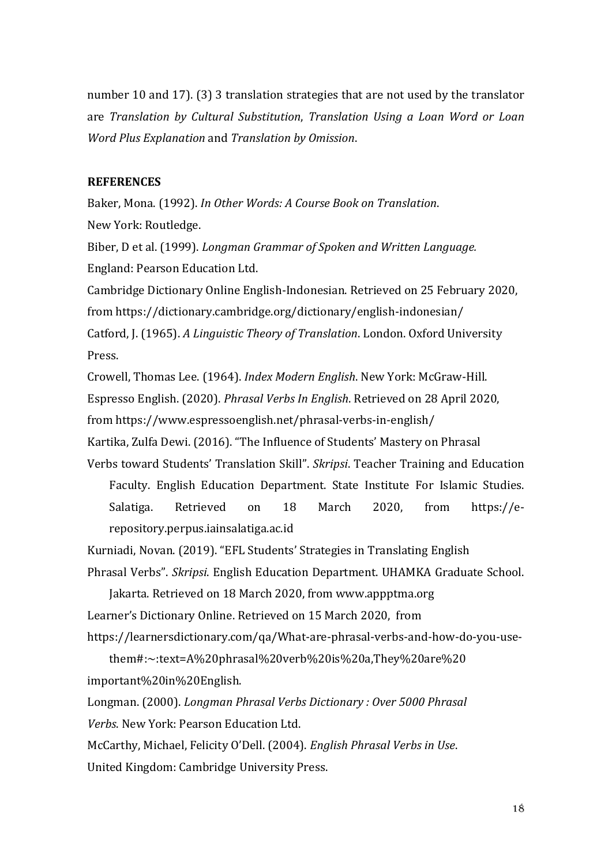number 10 and 17). (3) 3 translation strategies that are not used by the translator are *Translation by Cultural Substitution*, *Translation Using a Loan Word or Loan Word Plus Explanation* and *Translation by Omission*.

# **REFERENCES**

Baker, Mona. (1992). *In Other Words: A Course Book on Translation*. New York: Routledge.

Biber, D et al. (1999). *Longman Grammar of Spoken and Written Language.*  England: Pearson Education Ltd.

Cambridge Dictionary Online English-Indonesian. Retrieved on 25 February 2020, from https://dictionary.cambridge.org/dictionary/english-indonesian/ Catford, J. (1965). *A Linguistic Theory of Translation*. London. Oxford University Press.

Crowell, Thomas Lee. (1964). *Index Modern English*. New York: McGraw-Hill.

Espresso English. (2020). *Phrasal Verbs In English*. Retrieved on 28 April 2020,

from https://www.espressoenglish.net/phrasal-verbs-in-english/

Kartika, Zulfa Dewi. (2016). "The Influence of Students' Mastery on Phrasal

Verbs toward Students' Translation Skill". *Skripsi*. Teacher Training and Education Faculty. English Education Department. State Institute For Islamic Studies. Salatiga. Retrieved on 18 March 2020, from https://erepository.perpus.iainsalatiga.ac.id

Kurniadi, Novan. (2019). "EFL Students' Strategies in Translating English

Phrasal Verbs". *Skripsi*. English Education Department. UHAMKA Graduate School.

Jakarta. Retrieved on 18 March 2020, from www.appptma.org Learner's Dictionary Online. Retrieved on 15 March 2020, from

https://learnersdictionary.com/qa/What-are-phrasal-verbs-and-how-do-you-use-

them#:~:text=A%20phrasal%20verb%20is%20a,They%20are%20 important%20in%20English.

Longman. (2000). *Longman Phrasal Verbs Dictionary : Over 5000 Phrasal Verbs*. New York: Pearson Education Ltd.

McCarthy, Michael, Felicity O'Dell. (2004). *English Phrasal Verbs in Use*. United Kingdom: Cambridge University Press.